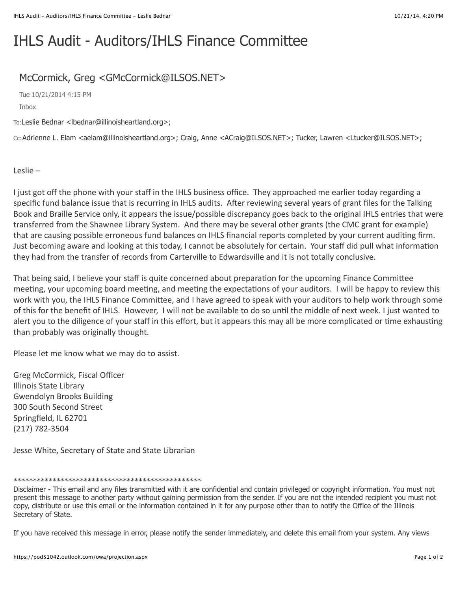## IHLS Audit - Auditors/IHLS Finance Committee

## McCormick, Greg <GMcCormick@ILSOS.NET>

Tue 10/21/2014 4:15 PM Inbox

To:Leslie Bednar <lbednar@illinoisheartland.org>;

Cc:Adrienne L. Elam <aelam@illinoisheartland.org>; Craig, Anne <ACraig@ILSOS.NET>; Tucker, Lawren <Ltucker@ILSOS.NET>;

Leslie $-$ 

I just got off the phone with your staff in the IHLS business office. They approached me earlier today regarding a specific fund balance issue that is recurring in IHLS audits. After reviewing several years of grant files for the Talking Book and Braille Service only, it appears the issue/possible discrepancy goes back to the original IHLS entries that were transferred from the Shawnee Library System. And there may be several other grants (the CMC grant for example) that are causing possible erroneous fund balances on IHLS financial reports completed by your current auditing firm. Just becoming aware and looking at this today, I cannot be absolutely for certain. Your staff did pull what information they had from the transfer of records from Carterville to Edwardsville and it is not totally conclusive.

That being said, I believe your staff is quite concerned about preparation for the upcoming Finance Committee meeting, your upcoming board meeting, and meeting the expectations of your auditors. I will be happy to review this work with you, the IHLS Finance Committee, and I have agreed to speak with your auditors to help work through some of this for the benefit of IHLS. However, I will not be available to do so until the middle of next week. I just wanted to alert you to the diligence of your staff in this effort, but it appears this may all be more complicated or time exhausting than probably was originally thought.

Please let me know what we may do to assist.

Greg McCormick, Fiscal Officer Illinois State Library Gwendolyn Brooks Building 300 South Second Street Springfield, IL 62701 (217) 782-3504

Jesse White, Secretary of State and State Librarian

## \*\*\*\*\*\*\*\*\*\*\*\*\*\*\*\*\*\*\*\*\*\*\*\*\*\*\*\*\*\*\*\*\*\*\*\*\*\*\*\*\*\*\*\*\*\*\*\*

If you have received this message in error, please notify the sender immediately, and delete this email from your system. Any views

Disclaimer - This email and any files transmitted with it are confidential and contain privileged or copyright information. You must not present this message to another party without gaining permission from the sender. If you are not the intended recipient you must not copy, distribute or use this email or the information contained in it for any purpose other than to notify the Office of the Illinois Secretary of State.